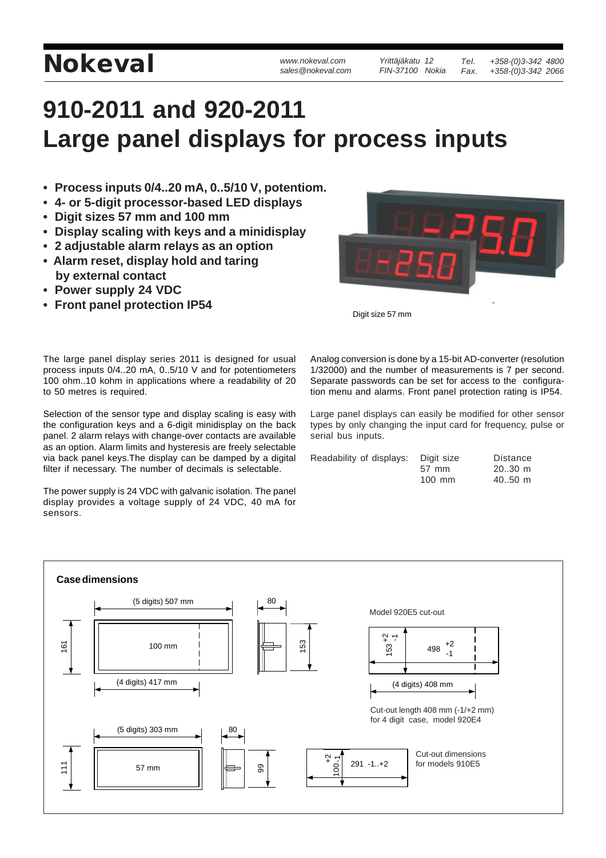## **NOKEVAI** *WWW.nokeval.com Yrittäjäkatu 12 Tel.* **+358-(0)3-342 4800**<br>sales @nokeval.com FIN-37100 Nokia Fax. +358-(0)3-342 2066

*Yrittäjäkatu 12 FIN-37100 Nokia*

## **910-2011 and 920-2011 Large panel displays for process inputs**

- **Process inputs 0/4..20 mA, 0..5/10 V, potentiom.**
- **4- or 5-digit processor-based LED displays**
- **Digit sizes 57 mm and 100 mm**
- **Display scaling with keys and a minidisplay**
- **2 adjustable alarm relays as an option • Alarm reset, display hold and taring by external contact**
- **Power supply 24 VDC**
- **Front panel protection IP54**



Digit size 57 mm

The large panel display series 2011 is designed for usual process inputs 0/4..20 mA, 0..5/10 V and for potentiometers 100 ohm..10 kohm in applications where a readability of 20 to 50 metres is required.

Selection of the sensor type and display scaling is easy with the configuration keys and a 6-digit minidisplay on the back panel. 2 alarm relays with change-over contacts are available as an option. Alarm limits and hysteresis are freely selectable via back panel keys.The display can be damped by a digital filter if necessary. The number of decimals is selectable.

The power supply is 24 VDC with galvanic isolation. The panel display provides a voltage supply of 24 VDC, 40 mA for sensors.

Analog conversion is done by a 15-bit AD-converter (resolution 1/32000) and the number of measurements is 7 per second. Separate passwords can be set for access to the configuration menu and alarms. Front panel protection rating is IP54.

Large panel displays can easily be modified for other sensor types by only changing the input card for frequency, pulse or serial bus inputs.

| Readability of displays: | Digit size | <b>Distance</b>     |
|--------------------------|------------|---------------------|
|                          | 57 mm      | $2030$ m            |
|                          | $100$ mm   | $40.50 \; \text{m}$ |